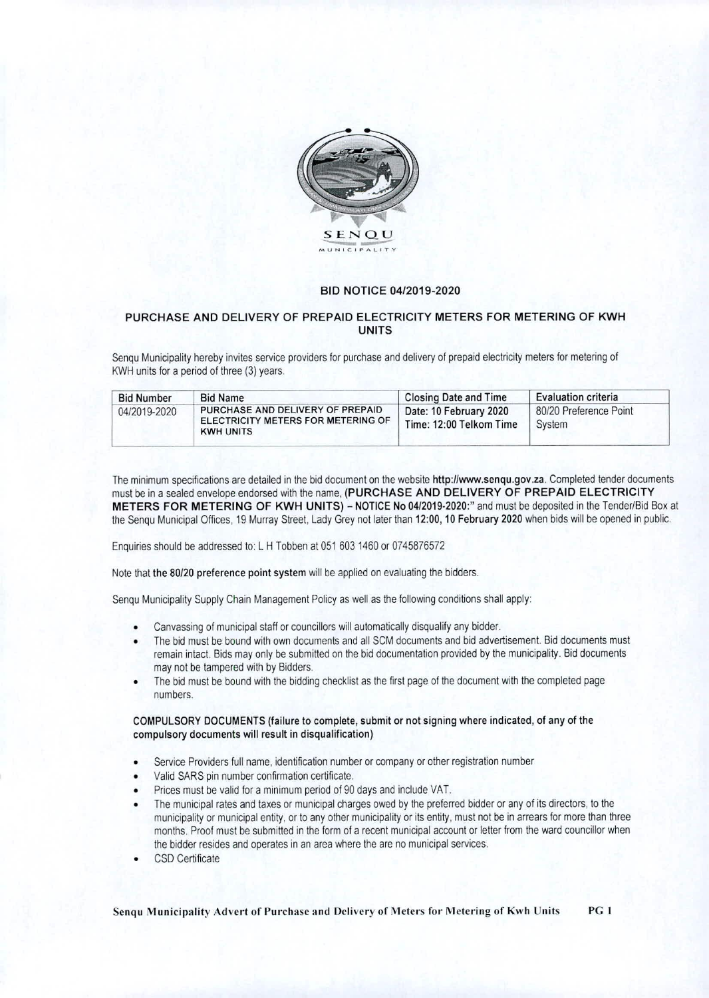

## BID NOTICE 04/2019-2020

## PURCHASE AND DELIVERY OF PREPAID ELECTRICITY METERS FOR METERING OF KWH UNITS

Senqu Municipality hereby invites service providers for purchase and delivery of prepaid electricity meters for metering of KWH units for a period of three (3) years.

| <b>Bid Number</b> | <b>Bid Name</b>                                                                            | <b>Closing Date and Time</b>                      | <b>Evaluation criteria</b>       |
|-------------------|--------------------------------------------------------------------------------------------|---------------------------------------------------|----------------------------------|
| 04/2019-2020      | PURCHASE AND DELIVERY OF PREPAID<br>ELECTRICITY METERS FOR METERING OF<br><b>KWH UNITS</b> | Date: 10 February 2020<br>Time: 12:00 Telkom Time | 80/20 Preference Point<br>System |

The minimum specifications are detailed in the bid document on the website http://www.senqu.gov.za. Completed tender documents must be in a sealed envelope endorsed with the name, (PURCHASE AND DELIVERY OF PREPAID ELECTRICITY METERS FOR METERING OF KWH UNITS) — NOTICE No 04/2019-2020:" and must be deposited in the Tender/Bid Box at the Senqu Municipal Offices, 19 Murray Street, Lady Grey not later than 12:00, 10 February 2020 when bids will be opened in public.

Enquiries should be addressed to: L H Tobben at 051 603 1460 or 0745876572

Note that the 80/20 preference point system will be applied on evaluating the bidders.

Senqu Municipality Supply Chain Management Policy as well as the following conditions shall apply:

- Canvassing of municipal staff or councillors will automatically disqualify any bidder.
- The bid must be bound with own documents and all SCM documents and bid advertisement. Bid documents must remain intact. Bids may only be submitted on the bid documentation provided by the municipality. Bid documents may not be tampered with by Bidders.
- The bid must be bound with the bidding checklist as the first page of the document with the completed page numbers.

## COMPULSORY DOCUMENTS (failure to complete, submit or not signing where indicated, of any of the compulsory documents will result in disqualification)

- Service Providers full name, identification number or company or other registration number
- Valid SARS pin number confirmation certificate.
- Prices must be valid for a minimum period of 90 days and include VAT.
- The municipal rates and taxes or municipal charges owed by the preferred bidder or any of its directors, to the municipality or municipal entity, or to any other municipality or its entity, must not be in arrears for more than three months. Proof must be submitted in the form of a recent municipal account or letter from the ward councillor when the bidder resides and operates in an area where the are no municipal services.
- CSD Certificate